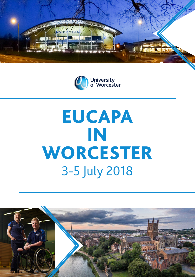



# EUCAPA IN **WORCESTER** 3-5 July 2018

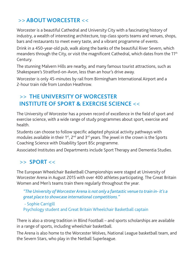# >> **ABOUT WORCESTER** <<

Worcester is a beautiful Cathedral and University City with a fascinating history of industry, a wealth of interesting architecture, top class sports teams and venues, shops, bars and restaurants to meet every taste, and a vibrant programme of events.

Drink in a 450-year-old pub, walk along the banks of the beautiful River Severn, which meanders through the City, or visit the magnificent Cathedral, which dates from the 11<sup>th</sup> Century.

The stunning Malvern Hills are nearby, and many famous tourist attractions, such as Shakespeare's Stratford-on-Avon, less than an hour's drive away.

Worcester is only 45-minutes by rail from Birmingham International Airport and a 2-hour train ride from London Heathrow.

# >> **THE UNIVERSITY OF WORCESTER INSTITUTE OF SPORT & EXERCISE SCIENCE** <<

The University of Worcester has a proven record of excellence in the field of sport and exercise science, with a wide range of study programmes about sport, exercise and health.

Students can choose to follow specific adapted physical activity pathways with modules available in their  $1^{st}$ .  $2^{nd}$  and  $3^{rd}$  years. The jewel in the crown is the Sports Coaching Science with Disability Sport BSc programme.

Associated Institutes and Departments include Sport Therapy and Dementia Studies.

# >> **SPORT** <<

The European Wheelchair Basketball Championships were staged at University of Worcester Arena in August 2015 with over 400 athletes participating. The Great Britain Women and Men's teams train there regularly throughout the year.

*"The University of Worcester Arena is not only a fantastic venue to train in- it's a great place to showcase international competitions."*

 - Sophie Carrigill Psychology student and Great Britain Wheelchair Basketball captain

There is also a strong tradition in Blind Football – and sports scholarships are available in a range of sports, including wheelchair basketball.

The Arena is also home to the Worcester Wolves, National League basketball team, and the Severn Stars, who play in the Netball Superleague.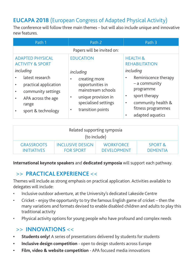# **EUCAPA 2018** (European Congress of Adapted Physical Activity)

The conference will follow three main themes – but will also include unique and innovative new features.

| Path 1                                                                               | Path 2                                                                         | Path 3                                                                          |  |  |  |  |
|--------------------------------------------------------------------------------------|--------------------------------------------------------------------------------|---------------------------------------------------------------------------------|--|--|--|--|
| Papers will be invited on:                                                           |                                                                                |                                                                                 |  |  |  |  |
| <b>ADAPTED PHYSICAL</b><br><b>ACTIVITY &amp; SPORT</b>                               | <b>EDUCATION</b>                                                               | <b>HEALTH &amp;</b><br><b>REHABILITATION</b>                                    |  |  |  |  |
| including                                                                            | including                                                                      | including                                                                       |  |  |  |  |
| latest research<br>practical application<br>community settings<br>APA across the age | creating more<br>opportunities in<br>mainstream schools<br>unique provision in | Reminiscence therapy<br>٠<br>$-$ a community<br>programme<br>sport therapy<br>٠ |  |  |  |  |
| range<br>sport & technology                                                          | specialised settings<br>transition points                                      | community health &<br>٠<br>fitness programmes<br>adapted aquatics               |  |  |  |  |

| Related supporting symposia<br>(to include) |                  |                    |                    |  |  |  |
|---------------------------------------------|------------------|--------------------|--------------------|--|--|--|
| <b>GRASSROOTS</b>                           | INCLUSIVE DESIGN | <b>WORKFORCE</b>   | <b>SPORT &amp;</b> |  |  |  |
| <b>INITIATIVES</b>                          | <b>FOR SPORT</b> | <b>DEVELOPMENT</b> | <b>DEMENTIA</b>    |  |  |  |

**International keynote speakers** and **dedicated symposia** will support each pathway.

#### >> **PRACTICAL EXPERIENCE** <<

Themes will include as strong emphasis on practical application. Activities available to delegates will include:

- Inclusive outdoor adventure, at the University's dedicated Lakeside Centre
- Cricket enjoy the opportunity to try the famous English game of cricket then the many variations and formats devised to enable disabled children and adults to play this traditional activity
- Physical activity options for young people who have profound and complex needs

#### >> **INNOVATIONS** <<

- **• Students only!** A series of presentations delivered by students for students
- **• Inclusive design competition** open to design students across Europe
- **• Film, video & website competition** APA focused media innovations